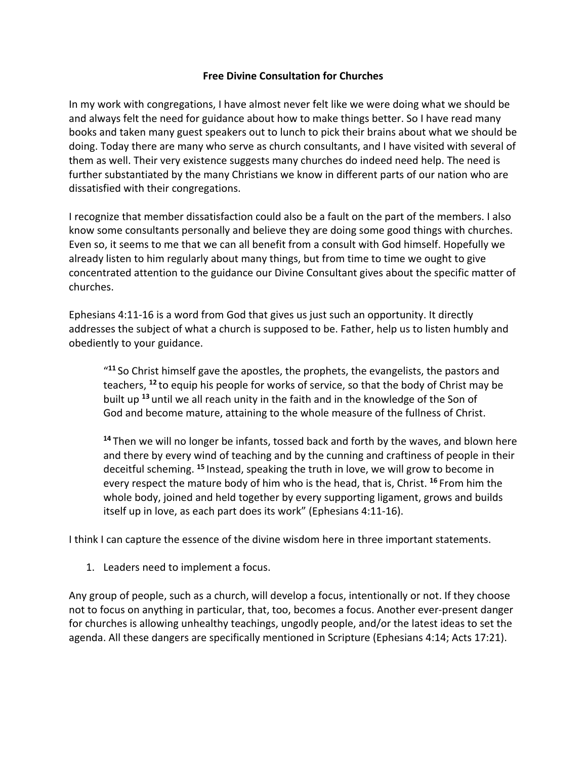## **Free Divine Consultation for Churches**

In my work with congregations, I have almost never felt like we were doing what we should be and always felt the need for guidance about how to make things better. So I have read many books and taken many guest speakers out to lunch to pick their brains about what we should be doing. Today there are many who serve as church consultants, and I have visited with several of them as well. Their very existence suggests many churches do indeed need help. The need is further substantiated by the many Christians we know in different parts of our nation who are dissatisfied with their congregations.

I recognize that member dissatisfaction could also be a fault on the part of the members. I also know some consultants personally and believe they are doing some good things with churches. Even so, it seems to me that we can all benefit from a consult with God himself. Hopefully we already listen to him regularly about many things, but from time to time we ought to give concentrated attention to the guidance our Divine Consultant gives about the specific matter of churches.

Ephesians 4:11-16 is a word from God that gives us just such an opportunity. It directly addresses the subject of what a church is supposed to be. Father, help us to listen humbly and obediently to your guidance.

"**<sup>11</sup>** So Christ himself gave the apostles, the prophets, the evangelists, the pastors and teachers, **<sup>12</sup>** to equip his people for works of service, so that the body of Christ may be built up **<sup>13</sup>** until we all reach unity in the faith and in the knowledge of the Son of God and become mature, attaining to the whole measure of the fullness of Christ.

**<sup>14</sup>** Then we will no longer be infants, tossed back and forth by the waves, and blown here and there by every wind of teaching and by the cunning and craftiness of people in their deceitful scheming. **<sup>15</sup>** Instead, speaking the truth in love, we will grow to become in every respect the mature body of him who is the head, that is, Christ. **<sup>16</sup>** From him the whole body, joined and held together by every supporting ligament, grows and builds itself up in love, as each part does its work" (Ephesians 4:11-16).

I think I can capture the essence of the divine wisdom here in three important statements.

1. Leaders need to implement a focus.

Any group of people, such as a church, will develop a focus, intentionally or not. If they choose not to focus on anything in particular, that, too, becomes a focus. Another ever-present danger for churches is allowing unhealthy teachings, ungodly people, and/or the latest ideas to set the agenda. All these dangers are specifically mentioned in Scripture (Ephesians 4:14; Acts 17:21).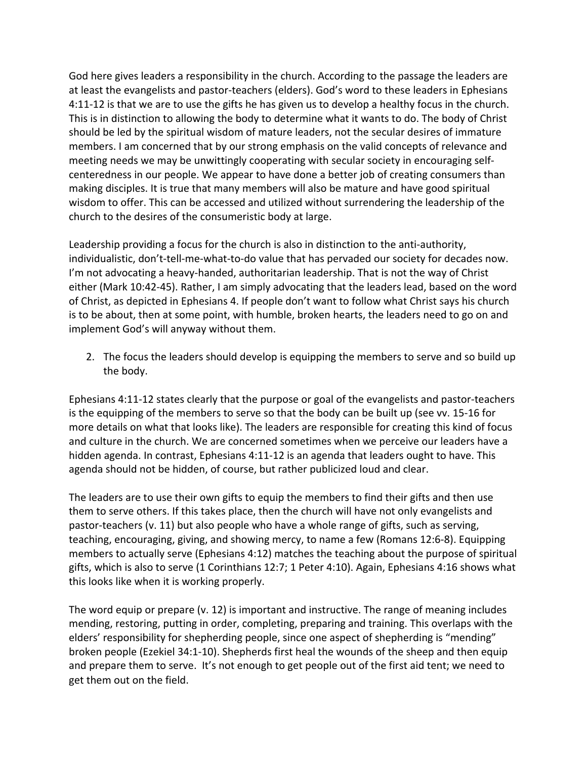God here gives leaders a responsibility in the church. According to the passage the leaders are at least the evangelists and pastor-teachers (elders). God's word to these leaders in Ephesians 4:11-12 is that we are to use the gifts he has given us to develop a healthy focus in the church. This is in distinction to allowing the body to determine what it wants to do. The body of Christ should be led by the spiritual wisdom of mature leaders, not the secular desires of immature members. I am concerned that by our strong emphasis on the valid concepts of relevance and meeting needs we may be unwittingly cooperating with secular society in encouraging selfcenteredness in our people. We appear to have done a better job of creating consumers than making disciples. It is true that many members will also be mature and have good spiritual wisdom to offer. This can be accessed and utilized without surrendering the leadership of the church to the desires of the consumeristic body at large.

Leadership providing a focus for the church is also in distinction to the anti-authority, individualistic, don't-tell-me-what-to-do value that has pervaded our society for decades now. I'm not advocating a heavy-handed, authoritarian leadership. That is not the way of Christ either (Mark 10:42-45). Rather, I am simply advocating that the leaders lead, based on the word of Christ, as depicted in Ephesians 4. If people don't want to follow what Christ says his church is to be about, then at some point, with humble, broken hearts, the leaders need to go on and implement God's will anyway without them.

2. The focus the leaders should develop is equipping the members to serve and so build up the body.

Ephesians 4:11-12 states clearly that the purpose or goal of the evangelists and pastor-teachers is the equipping of the members to serve so that the body can be built up (see vv. 15-16 for more details on what that looks like). The leaders are responsible for creating this kind of focus and culture in the church. We are concerned sometimes when we perceive our leaders have a hidden agenda. In contrast, Ephesians 4:11-12 is an agenda that leaders ought to have. This agenda should not be hidden, of course, but rather publicized loud and clear.

The leaders are to use their own gifts to equip the members to find their gifts and then use them to serve others. If this takes place, then the church will have not only evangelists and pastor-teachers (v. 11) but also people who have a whole range of gifts, such as serving, teaching, encouraging, giving, and showing mercy, to name a few (Romans 12:6-8). Equipping members to actually serve (Ephesians 4:12) matches the teaching about the purpose of spiritual gifts, which is also to serve (1 Corinthians 12:7; 1 Peter 4:10). Again, Ephesians 4:16 shows what this looks like when it is working properly.

The word equip or prepare (v. 12) is important and instructive. The range of meaning includes mending, restoring, putting in order, completing, preparing and training. This overlaps with the elders' responsibility for shepherding people, since one aspect of shepherding is "mending" broken people (Ezekiel 34:1-10). Shepherds first heal the wounds of the sheep and then equip and prepare them to serve. It's not enough to get people out of the first aid tent; we need to get them out on the field.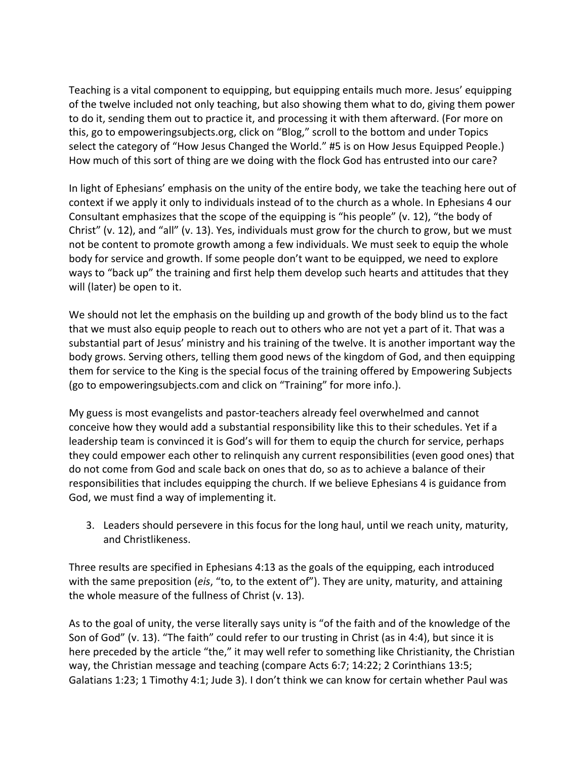Teaching is a vital component to equipping, but equipping entails much more. Jesus' equipping of the twelve included not only teaching, but also showing them what to do, giving them power to do it, sending them out to practice it, and processing it with them afterward. (For more on this, go to empoweringsubjects.org, click on "Blog," scroll to the bottom and under Topics select the category of "How Jesus Changed the World." #5 is on How Jesus Equipped People.) How much of this sort of thing are we doing with the flock God has entrusted into our care?

In light of Ephesians' emphasis on the unity of the entire body, we take the teaching here out of context if we apply it only to individuals instead of to the church as a whole. In Ephesians 4 our Consultant emphasizes that the scope of the equipping is "his people" (v. 12), "the body of Christ" (v. 12), and "all" (v. 13). Yes, individuals must grow for the church to grow, but we must not be content to promote growth among a few individuals. We must seek to equip the whole body for service and growth. If some people don't want to be equipped, we need to explore ways to "back up" the training and first help them develop such hearts and attitudes that they will (later) be open to it.

We should not let the emphasis on the building up and growth of the body blind us to the fact that we must also equip people to reach out to others who are not yet a part of it. That was a substantial part of Jesus' ministry and his training of the twelve. It is another important way the body grows. Serving others, telling them good news of the kingdom of God, and then equipping them for service to the King is the special focus of the training offered by Empowering Subjects (go to empoweringsubjects.com and click on "Training" for more info.).

My guess is most evangelists and pastor-teachers already feel overwhelmed and cannot conceive how they would add a substantial responsibility like this to their schedules. Yet if a leadership team is convinced it is God's will for them to equip the church for service, perhaps they could empower each other to relinquish any current responsibilities (even good ones) that do not come from God and scale back on ones that do, so as to achieve a balance of their responsibilities that includes equipping the church. If we believe Ephesians 4 is guidance from God, we must find a way of implementing it.

3. Leaders should persevere in this focus for the long haul, until we reach unity, maturity, and Christlikeness.

Three results are specified in Ephesians 4:13 as the goals of the equipping, each introduced with the same preposition (*eis*, "to, to the extent of"). They are unity, maturity, and attaining the whole measure of the fullness of Christ (v. 13).

As to the goal of unity, the verse literally says unity is "of the faith and of the knowledge of the Son of God" (v. 13). "The faith" could refer to our trusting in Christ (as in 4:4), but since it is here preceded by the article "the," it may well refer to something like Christianity, the Christian way, the Christian message and teaching (compare Acts 6:7; 14:22; 2 Corinthians 13:5; Galatians 1:23; 1 Timothy 4:1; Jude 3). I don't think we can know for certain whether Paul was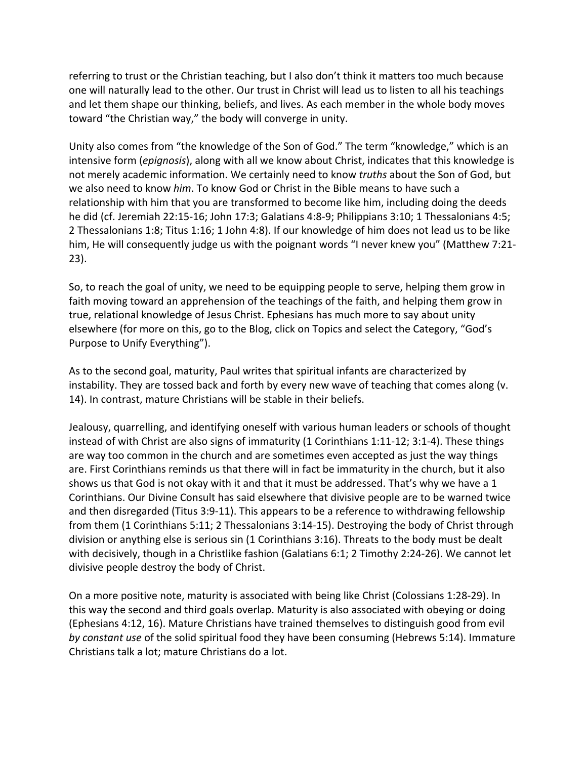referring to trust or the Christian teaching, but I also don't think it matters too much because one will naturally lead to the other. Our trust in Christ will lead us to listen to all his teachings and let them shape our thinking, beliefs, and lives. As each member in the whole body moves toward "the Christian way," the body will converge in unity.

Unity also comes from "the knowledge of the Son of God." The term "knowledge," which is an intensive form (*epignosis*), along with all we know about Christ, indicates that this knowledge is not merely academic information. We certainly need to know *truths* about the Son of God, but we also need to know *him*. To know God or Christ in the Bible means to have such a relationship with him that you are transformed to become like him, including doing the deeds he did (cf. Jeremiah 22:15-16; John 17:3; Galatians 4:8-9; Philippians 3:10; 1 Thessalonians 4:5; 2 Thessalonians 1:8; Titus 1:16; 1 John 4:8). If our knowledge of him does not lead us to be like him, He will consequently judge us with the poignant words "I never knew you" (Matthew 7:21- 23).

So, to reach the goal of unity, we need to be equipping people to serve, helping them grow in faith moving toward an apprehension of the teachings of the faith, and helping them grow in true, relational knowledge of Jesus Christ. Ephesians has much more to say about unity elsewhere (for more on this, go to the Blog, click on Topics and select the Category, "God's Purpose to Unify Everything").

As to the second goal, maturity, Paul writes that spiritual infants are characterized by instability. They are tossed back and forth by every new wave of teaching that comes along (v. 14). In contrast, mature Christians will be stable in their beliefs.

Jealousy, quarrelling, and identifying oneself with various human leaders or schools of thought instead of with Christ are also signs of immaturity (1 Corinthians 1:11-12; 3:1-4). These things are way too common in the church and are sometimes even accepted as just the way things are. First Corinthians reminds us that there will in fact be immaturity in the church, but it also shows us that God is not okay with it and that it must be addressed. That's why we have a 1 Corinthians. Our Divine Consult has said elsewhere that divisive people are to be warned twice and then disregarded (Titus 3:9-11). This appears to be a reference to withdrawing fellowship from them (1 Corinthians 5:11; 2 Thessalonians 3:14-15). Destroying the body of Christ through division or anything else is serious sin (1 Corinthians 3:16). Threats to the body must be dealt with decisively, though in a Christlike fashion (Galatians 6:1; 2 Timothy 2:24-26). We cannot let divisive people destroy the body of Christ.

On a more positive note, maturity is associated with being like Christ (Colossians 1:28-29). In this way the second and third goals overlap. Maturity is also associated with obeying or doing (Ephesians 4:12, 16). Mature Christians have trained themselves to distinguish good from evil *by constant use* of the solid spiritual food they have been consuming (Hebrews 5:14). Immature Christians talk a lot; mature Christians do a lot.